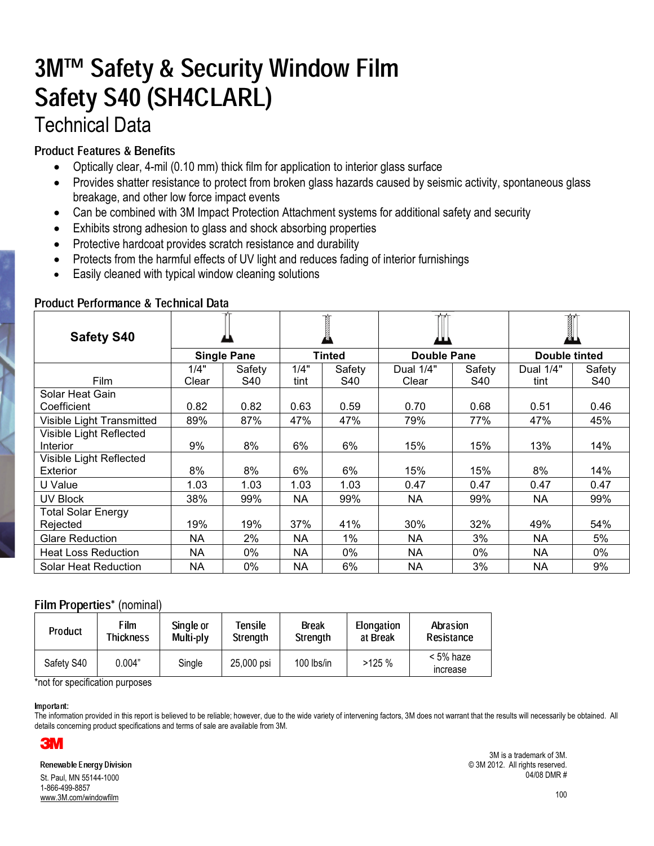# 3M™ Safety & Security Window Film Safety S40 (SH4CLARL) **Technical Data**

## **Product Features & Benefits**

- Optically clear, 4-mil (0.10 mm) thick film for application to interior glass surface
- Provides shatter resistance to protect from broken glass hazards caused by seismic activity, spontaneous glass breakage, and other low force impact events
- Can be combined with 3M Impact Protection Attachment systems for additional safety and security
- Exhibits strong adhesion to glass and shock absorbing properties
- Protective hardcoat provides scratch resistance and durability
- Protects from the harmful effects of UV light and reduces fading of interior furnishings
- Easily cleaned with typical window cleaning solutions

| <b>Safety S40</b>                     |                    |        |               |        |             |        |               |        |
|---------------------------------------|--------------------|--------|---------------|--------|-------------|--------|---------------|--------|
|                                       | <b>Single Pane</b> |        | <b>Tinted</b> |        | Double Pane |        | Double tinted |        |
|                                       | 1/4"               | Safety | 1/4"          | Safety | Dual 1/4"   | Safety | Dual 1/4"     | Safety |
| <b>Film</b>                           | Clear              | S40    | tint          | S40    | Clear       | S40    | tint          | S40    |
| Solar Heat Gain<br>Coefficient        | 0.82               | 0.82   | 0.63          | 0.59   | 0.70        | 0.68   | 0.51          | 0.46   |
| Visible Light Transmitted             | 89%                | 87%    | 47%           | 47%    | 79%         | 77%    | 47%           | 45%    |
| Visible Light Reflected<br>Interior   | 9%                 | 8%     | 6%            | 6%     | 15%         | 15%    | 13%           | 14%    |
| Visible Light Reflected<br>Exterior   | 8%                 | 8%     | 6%            | 6%     | 15%         | 15%    | 8%            | 14%    |
| U Value                               | 1.03               | 1.03   | 1.03          | 1.03   | 0.47        | 0.47   | 0.47          | 0.47   |
| <b>UV Block</b>                       | 38%                | 99%    | NA            | 99%    | <b>NA</b>   | 99%    | <b>NA</b>     | 99%    |
| <b>Total Solar Energy</b><br>Rejected | 19%                | 19%    | 37%           | 41%    | 30%         | 32%    | 49%           | 54%    |
| <b>Glare Reduction</b>                | NA.                | 2%     | <b>NA</b>     | 1%     | <b>NA</b>   | 3%     | NA.           | 5%     |
| <b>Heat Loss Reduction</b>            | <b>NA</b>          | 0%     | <b>NA</b>     | 0%     | <b>NA</b>   | $0\%$  | <b>NA</b>     | $0\%$  |
| Solar Heat Reduction                  | <b>NA</b>          | 0%     | <b>NA</b>     | 6%     | <b>NA</b>   | 3%     | <b>NA</b>     | 9%     |

### Product Performance & Technical Data

## Film Properties\* (nominal)

| <b>Product</b> | Film      | Single or | Tensile    | Break        | Elongation | Abrasion                     |
|----------------|-----------|-----------|------------|--------------|------------|------------------------------|
|                | Thickness | Multi-ply | Strength   | Strength     | at Break   | <b>Resistance</b>            |
| Safety S40     | 0.004"    | Single    | 25,000 psi | $100$ lbs/in | >125%      | < 5% haze<br><b>Increase</b> |

\*not for specification purposes

- 

The information provided in this report is believed to be reliable; however, due to the wide variety of intervening factors, 3M does not warrant that the results will necessarily be obtained. All details concerning product specifications and terms of sale are available from 3M.



St. Paul. MN 55144-1000 1-866-499-8857 www.3M.com/windowfilm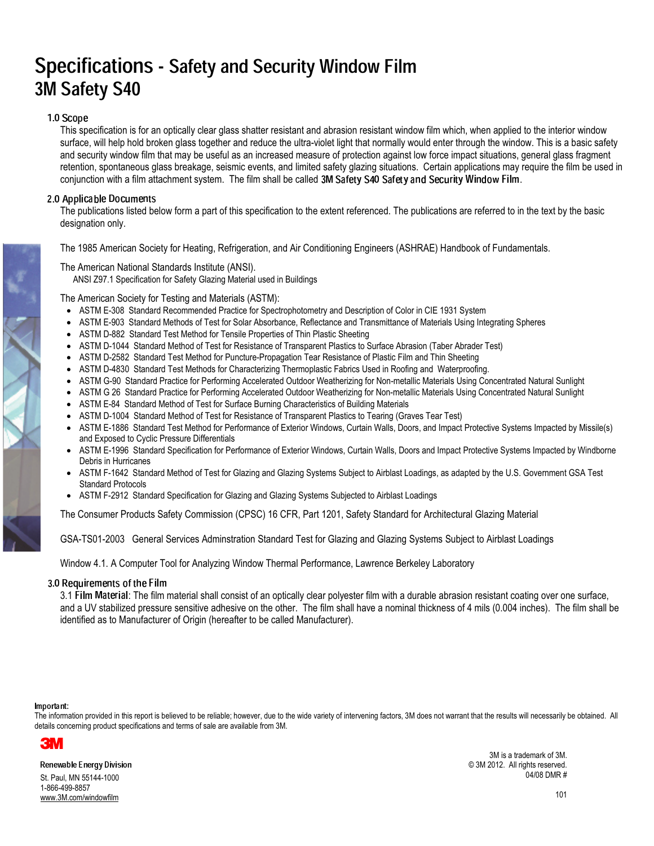## Specifications - Safety and Security Window Film 3M Safety S40

#### 1 A Scope III

This specification is for an optically clear glass shatter resistant and abrasion resistant window film which, when applied to the interior window surface, will help hold broken glass together and reduce the ultra-violet light that normally would enter through the window. This is a basic safety and security window film that may be useful as an increased measure of protection against low force impact situations, general glass fragment retention, spontaneous glass breakage, seismic events, and limited safety glazing situations. Certain applications may require the film be used in conjunction with a film attachment system. The film shall be called 3M Safety S40 Safety and Security Window Film.

### 2.0 Applicable Documents

The publications listed below form a part of this specification to the extent referenced. The publications are referred to in the text by the basic designation only.

The 1985 American Society for Heating, Refrigeration, and Air Conditioning Engineers (ASHRAE) Handbook of Fundamentals.

### The American National Standards Institute (ANSI).

ANSI Z97.1 Specification for Safety Glazing Material used in Buildings

The American Society for Testing and Materials (ASTM):

- ASTM E-308 Standard Recommended Practice for Spectrophotometry and Description of Color in CIE 1931 System
- ASTM E-903 Standard Methods of Test for Solar Absorbance, Reflectance and Transmittance of Materials Using Integrating Spheres
- ASTM D-882 Standard Test Method for Tensile Properties of Thin Plastic Sheeting
- ASTM D-1044 Standard Method of Test for Resistance of Transparent Plastics to Surface Abrasion (Taber Abrader Test)
- ASTM D-2582 Standard Test Method for Puncture-Propagation Tear Resistance of Plastic Film and Thin Sheeting
- ASTM D-4830 Standard Test Methods for Characterizing Thermoplastic Fabrics Used in Roofing and Waterproofing.
- ASTM G-90 Standard Practice for Performing Accelerated Outdoor Weatherizing for Non-metallic Materials Using Concentrated Natural Sunlight
- ASTM G 26 Standard Practice for Performing Accelerated Outdoor Weatherizing for Non-metallic Materials Using Concentrated Natural Sunlight
- ASTM E-84 Standard Method of Test for Surface Burning Characteristics of Building Materials
- ASTM D-1004 Standard Method of Test for Resistance of Transparent Plastics to Tearing (Graves Tear Test)
- ASTM E-1886 Standard Test Method for Performance of Exterior Windows, Curtain Walls, Doors, and Impact Protective Systems Impacted by Missile(s) and Exposed to Cyclic Pressure Differentials
- ASTM E-1996 Standard Specification for Performance of Exterior Windows, Curtain Walls, Doors and Impact Protective Systems Impacted by Windborne Debris in Hurricanes
- ASTM F-1642 Standard Method of Test for Glazing and Glazing Systems Subject to Airblast Loadings, as adapted by the U.S. Government GSA Test **Standard Protocols**
- ASTM F-2912 Standard Specification for Glazing and Glazing Systems Subjected to Airblast Loadings

The Consumer Products Safety Commission (CPSC) 16 CFR, Part 1201, Safety Standard for Architectural Glazing Material

GSA-TS01-2003 General Services Adminstration Standard Test for Glazing and Glazing Systems Subject to Airblast Loadings

Window 4.1. A Computer Tool for Analyzing Window Thermal Performance, Lawrence Berkeley Laboratory

#### 3.0 Requirements of the Film

3.1 Film Material: The film material shall consist of an optically clear polyester film with a durable abrasion resistant coating over one surface, and a UV stabilized pressure sensitive adhesive on the other. The film shall have a nominal thickness of 4 mils (0.004 inches). The film shall be identified as to Manufacturer of Origin (hereafter to be called Manufacturer).

- 

The information provided in this report is believed to be reliable; however, due to the wide variety of intervening factors, 3M does not warrant that the results will necessarily be obtained. All details concerning product specifications and terms of sale are available from 3M.



St. Paul. MN 55144-1000 1-866-499-8857 www.3M.com/windowfilm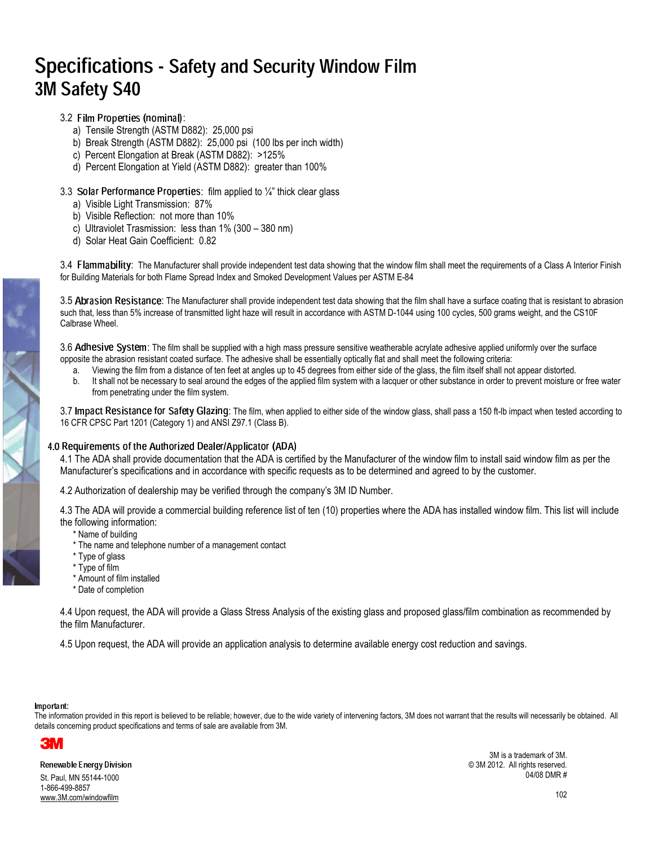## Specifications - Safety and Security Window Film 3M Safety S40

- 3.2 Film Properties (nominal):
	- a) Tensile Strength (ASTM D882): 25,000 psi
	- b) Break Strength (ASTM D882): 25,000 psi (100 lbs per inch width)
	- c) Percent Elongation at Break (ASTM D882): >125%
	- d) Percent Elongation at Yield (ASTM D882): greater than 100%

#### 3.3 Solar Performance Properties: film applied to  $\frac{1}{4}$  thick clear glass

- a) Visible Light Transmission: 87%
- b) Visible Reflection: not more than 10%
- c) Ultraviolet Trasmission: less than  $1\%$  (300 380 nm)
- d) Solar Heat Gain Coefficient: 0.82

3.4 Fla**mmability**: The Manufacturer shall provide independent test data showing that the window film shall meet the requirements of a Class A Interior Finish for Building Materials for both Flame Spread Index and Smoked Development Values per ASTM E-84

3.5 Abrasion Resistance: The Manufacturer shall provide independent test data showing that the film shall have a surface coating that is resistant to abrasion such that, less than 5% increase of transmitted light haze will result in accordance with ASTM D-1044 using 100 cycles, 500 grams weight, and the CS10F Calbrase Wheel.

3.6 Adhesive System: The film shall be supplied with a high mass pressure sensitive weatherable acrylate adhesive applied uniformly over the surface <sup>b</sup> opposite the abrasion resistant coated surface. The adhesive shall be essentially optically flat and shall meet the following criteria:

- a. Viewing the film from a distance of ten feet at angles up to 45 degrees from either side of the glass, the film itself shall not appear distorted.
- b. It shall not be necessary to seal around the edges of the applied film system with a lacquer or other substance in order to prevent moisture or free water from penetrating under the film system.

3.7 Impact Resistance for Safety Glazing: The film, when applied to either side of the window glass, shall pass a 150 ft-lb impact when tested according to 16 CFR CPSC Part 1201 (Category 1) and ANSI Z97.1 (Class B).

## .0 Requirements of the Authorized Dealer/Applicator (ADA)

4.1 The ADA shall provide documentation that the ADA is certified by the Manufacturer of the window film to install said window film as per the Manufacturer's specifications and in accordance with specific requests as to be determined and agreed to by the customer.

4.2 Authorization of dealership may be verified through the company's 3M ID Number.

4.3 The ADA will provide a commercial building reference list of ten (10) properties where the ADA has installed window film. This list will include the following information:

- \* Name of building
- \* The name and telephone number of a management contact
- \* Type of glass
- \* Type of film
- \* Amount of film installed
- \* Date of completion

4.4 Upon request, the ADA will provide a Glass Stress Analysis of the existing glass and proposed glass/film combination as recommended by the film Manufacturer.

4.5 Upon request, the ADA will provide an application analysis to determine available energy cost reduction and savings.

#### -

The information provided in this report is believed to be reliable; however, due to the wide variety of intervening factors, 3M does not warrant that the results will necessarily be obtained. All details concerning product specifications and terms of sale are available from 3M.



St. Paul. MN 55144-1000 1-866-499-8857 www.3M.com/windowfilm